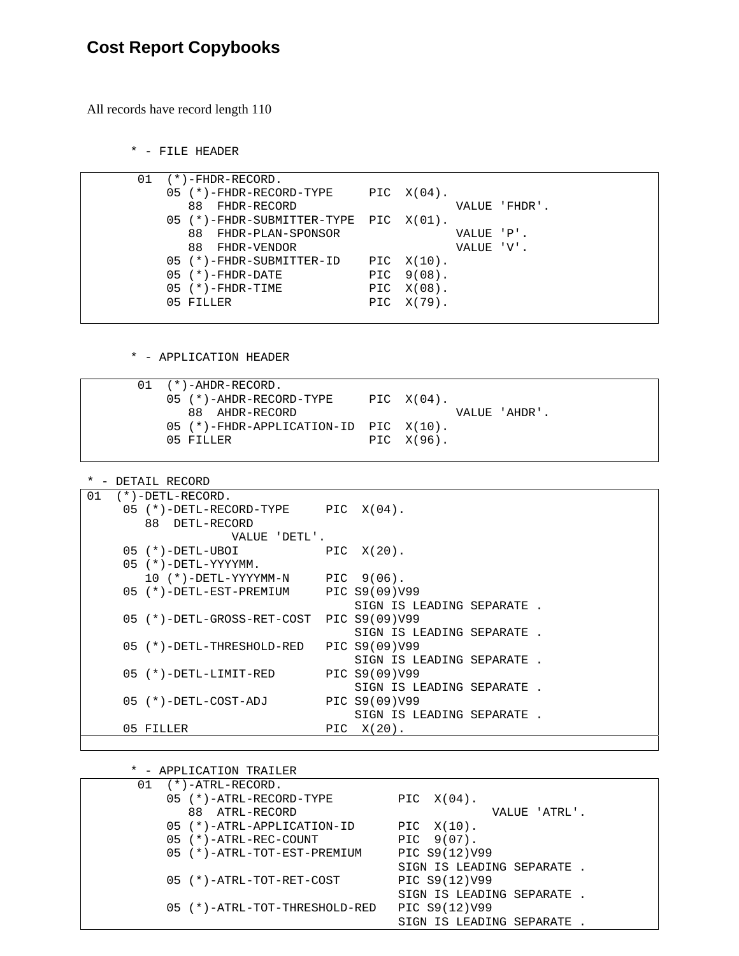## **Cost Report Copybooks**

All records have record length 110

\* - FILE HEADER

|  | ( * ) - FHDR-RECORD.                    |     |            |            |               |
|--|-----------------------------------------|-----|------------|------------|---------------|
|  | $05$ (*)-FHDR-RECORD-TYPE PIC $X(04)$ . |     |            |            |               |
|  | 88 FHDR-RECORD                          |     |            |            | VALUE 'FHDR'. |
|  | 05 (*)-FHDR-SUBMITTER-TYPE PIC X(01).   |     |            |            |               |
|  | 88 FHDR-PLAN-SPONSOR                    |     |            | VALUE 'P'. |               |
|  | 88 FHDR-VENDOR                          |     |            | VALUE 'V'. |               |
|  | 05 (*)-FHDR-SUBMITTER-ID PIC X(10).     |     |            |            |               |
|  | $05$ (*)-FHDR-DATE                      |     | PIC 9(08). |            |               |
|  | $05$ $(*)$ -FHDR-TIME                   | PIC | X(08).     |            |               |
|  | 05 FILLER                               | PIC | X(79).     |            |               |
|  |                                         |     |            |            |               |

\* - APPLICATION HEADER

|  | $01$ $(*)$ -AHDR-RECORD.                   |               |
|--|--------------------------------------------|---------------|
|  | 05 (*)-AHDR-RECORD-TYPE                    | PIC $X(04)$ . |
|  | 88 AHDR-RECORD                             | VALUE 'AHDR'. |
|  | $05$ (*)-FHDR-APPLICATION-ID PIC $X(10)$ . |               |
|  | $05$ FILLER                                | PIC $X(96)$ . |

\* - DETAIL RECORD

| 01 | $(*)$ -DETL-RECORD.                     |     |                           |
|----|-----------------------------------------|-----|---------------------------|
|    | $05$ (*)-DETL-RECORD-TYPE PIC $X(04)$ . |     |                           |
|    | 88 DETL-RECORD                          |     |                           |
|    | VALUE 'DETL'.                           |     |                           |
|    | 05 (*)-DETL-UBOI                        |     | PIC X(20).                |
|    | $05$ (*)-DETL-YYYYMM.                   |     |                           |
|    | $10$ (*)-DETL-YYYYMM-N PIC $9(06)$ .    |     |                           |
|    | 05 (*)-DETL-EST-PREMIUM PIC S9(09)V99   |     |                           |
|    |                                         |     | SIGN IS LEADING SEPARATE. |
|    | 05 (*)-DETL-GROSS-RET-COST              |     | PIC S9(09)V99             |
|    |                                         |     | SIGN IS LEADING SEPARATE. |
|    | 05 (*)-DETL-THRESHOLD-RED               |     | PIC S9(09)V99             |
|    |                                         |     | SIGN IS LEADING SEPARATE. |
|    | 05 (*)-DETL-LIMIT-RED                   |     | PIC S9(09)V99             |
|    |                                         |     | SIGN IS LEADING SEPARATE. |
|    | $05$ $(*)$ -DETL-COST-ADJ               |     | PIC S9(09)V99             |
|    |                                         |     | SIGN IS LEADING SEPARATE. |
|    | 05 FILLER                               | PIC | X(20).                    |
|    |                                         |     |                           |

\* - APPLICATION TRAILER

| 01 | $(*$ )-ATRL-RECORD.           |                           |
|----|-------------------------------|---------------------------|
|    | 05 (*)-ATRL-RECORD-TYPE       | PIC $X(04)$ .             |
|    | 88 ATRL-RECORD                | VALUE 'ATRL'.             |
|    | 05 (*)-ATRL-APPLICATION-ID    | PIC $X(10)$ .             |
|    | 05 (*)-ATRL-REC-COUNT         | PIC 9(07).                |
|    | 05 (*)-ATRL-TOT-EST-PREMIUM   | PIC S9(12)V99             |
|    |                               | SIGN IS LEADING SEPARATE. |
|    | 05 (*)-ATRL-TOT-RET-COST      | PIC S9(12)V99             |
|    |                               | SIGN IS LEADING SEPARATE. |
|    | 05 (*)-ATRL-TOT-THRESHOLD-RED | PIC S9(12)V99             |
|    |                               | SIGN IS LEADING SEPARATE  |